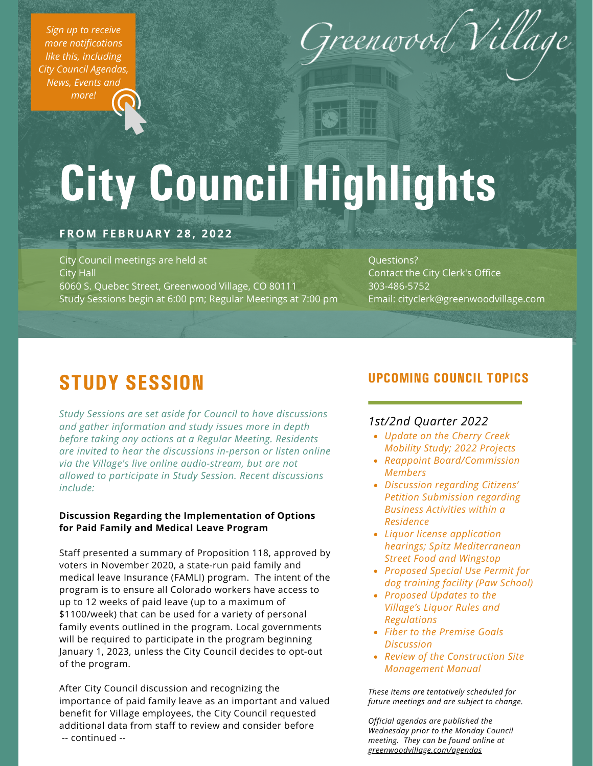*Sign up to receive more [notifications](https://greenwoodvillage.com/list.aspx) like this, including City Council Agendas, News, Events and more!*



# City Council Highlights

## **FROM F EBRUARY 2 8 , 2 0 2 2**

City Council meetings are held at City Hall 6060 S. Quebec Street, Greenwood Village, CO 80111 Study Sessions begin at 6:00 pm; Regular Meetings at 7:00 pm

Questions? Contact the City Clerk's Office 303-486-5752 Email: cityclerk@greenwoodvillage.com

# STUDY SESSION

*Study Sessions are set aside for Council to have discussions and gather information and study issues more in depth before taking any actions at a Regular Meeting. Residents are invited to hear the discussions in-person or listen online via the Village's live online [audio-stream](https://greenwoodvillage.com/2390/Agendas-Minutes-Webcasts), but are not allowed to participate in Study Session. Recent discussions include:*

#### **Discussion Regarding the Implementation of Options for Paid Family and Medical Leave Program**

Staff presented a summary of Proposition 118, approved by voters in November 2020, a state-run paid family and medical leave Insurance (FAMLI) program. The intent of the program is to ensure all Colorado workers have access to up to 12 weeks of paid leave (up to a maximum of \$1100/week) that can be used for a variety of personal family events outlined in the program. Local governments will be required to participate in the program beginning January 1, 2023, unless the City Council decides to opt-out of the program.

After City Council discussion and recognizing the importance of paid family leave as an important and valued benefit for Village employees, the City Council requested additional data from staff to review and consider before -- continued --

## UPCOMING COUNCIL TOPICS

### *1st/2nd Quarter 2022*

- *Update on the Cherry Creek Mobility Study; 2022 Projects*
- *Reappoint Board/Commission Members*
- *Discussion regarding Citizens' Petition Submission regarding Business Activities within a Residence*
- *Liquor license application hearings; Spitz Mediterranean Street Food and Wingstop*
- *Proposed Special Use Permit for dog training facility (Paw School)*
- *Proposed Updates to the Village's Liquor Rules and Regulations*
- *Fiber to the Premise Goals Discussion*
- *Review of the Construction Site Management Manual*

*These items are tentatively scheduled for future meetings and are subject to change.*

*Official agendas are published the Wednesday prior to the Monday Council meeting. They can be found online at [greenwoodvillage.com/agendas](http://greenwoodvillage.com/agendas)*